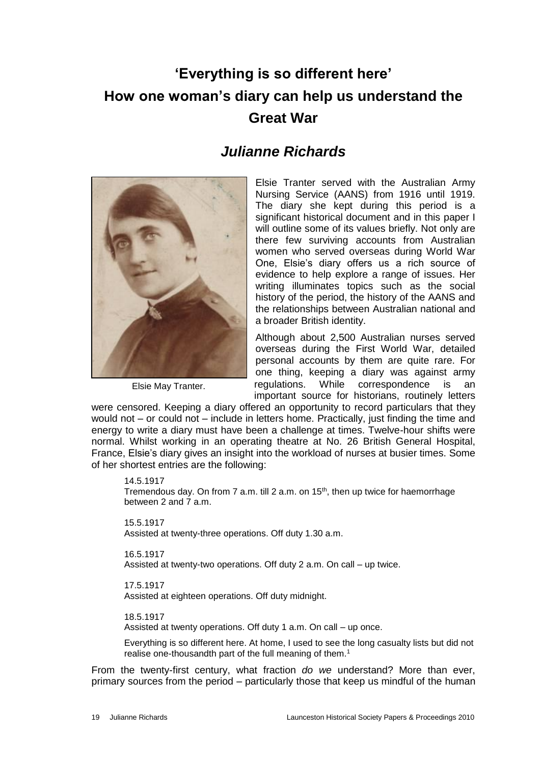# **'Everything is so different here' How one woman's diary can help us understand the Great War**

## *Julianne Richards*



Elsie May Tranter.

Elsie Tranter served with the Australian Army Nursing Service (AANS) from 1916 until 1919. The diary she kept during this period is a significant historical document and in this paper I will outline some of its values briefly. Not only are there few surviving accounts from Australian women who served overseas during World War One, Elsie's diary offers us a rich source of evidence to help explore a range of issues. Her writing illuminates topics such as the social history of the period, the history of the AANS and the relationships between Australian national and a broader British identity.

Although about 2,500 Australian nurses served overseas during the First World War, detailed personal accounts by them are quite rare. For one thing, keeping a diary was against army regulations. While correspondence is an important source for historians, routinely letters

were censored. Keeping a diary offered an opportunity to record particulars that they would not – or could not – include in letters home. Practically, just finding the time and energy to write a diary must have been a challenge at times. Twelve-hour shifts were normal. Whilst working in an operating theatre at No. 26 British General Hospital, France, Elsie's diary gives an insight into the workload of nurses at busier times. Some of her shortest entries are the following:

#### 14.5.1917

Tremendous day. On from 7 a.m. till 2 a.m. on 15<sup>th</sup>, then up twice for haemorrhage between 2 and 7 a.m.

15.5.1917 Assisted at twenty-three operations. Off duty 1.30 a.m.

### 16.5.1917

Assisted at twenty-two operations. Off duty 2 a.m. On call – up twice.

#### 17.5.1917

Assisted at eighteen operations. Off duty midnight.

#### 18.5.1917

Assisted at twenty operations. Off duty 1 a.m. On call – up once.

Everything is so different here. At home, I used to see the long casualty lists but did not realise one-thousandth part of the full meaning of them.<sup>1</sup>

From the twenty-first century, what fraction *do we* understand? More than ever, primary sources from the period – particularly those that keep us mindful of the human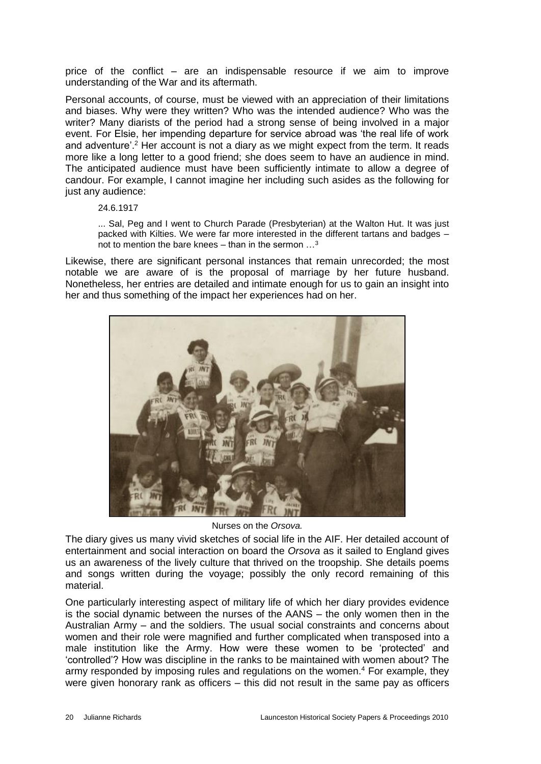price of the conflict – are an indispensable resource if we aim to improve understanding of the War and its aftermath.

Personal accounts, of course, must be viewed with an appreciation of their limitations and biases. Why were they written? Who was the intended audience? Who was the writer? Many diarists of the period had a strong sense of being involved in a major event. For Elsie, her impending departure for service abroad was 'the real life of work and adventure'.<sup>2</sup> Her account is not a diary as we might expect from the term. It reads more like a long letter to a good friend; she does seem to have an audience in mind. The anticipated audience must have been sufficiently intimate to allow a degree of candour. For example, I cannot imagine her including such asides as the following for just any audience:

#### 24.6.1917

... Sal, Peg and I went to Church Parade (Presbyterian) at the Walton Hut. It was just packed with Kilties. We were far more interested in the different tartans and badges – not to mention the bare knees – than in the sermon  $\ldots^3$ 

Likewise, there are significant personal instances that remain unrecorded; the most notable we are aware of is the proposal of marriage by her future husband. Nonetheless, her entries are detailed and intimate enough for us to gain an insight into her and thus something of the impact her experiences had on her.



Nurses on the *Orsova.*

The diary gives us many vivid sketches of social life in the AIF. Her detailed account of entertainment and social interaction on board the *Orsova* as it sailed to England gives us an awareness of the lively culture that thrived on the troopship. She details poems and songs written during the voyage; possibly the only record remaining of this material.

One particularly interesting aspect of military life of which her diary provides evidence is the social dynamic between the nurses of the AANS – the only women then in the Australian Army – and the soldiers. The usual social constraints and concerns about women and their role were magnified and further complicated when transposed into a male institution like the Army. How were these women to be 'protected' and 'controlled'? How was discipline in the ranks to be maintained with women about? The army responded by imposing rules and regulations on the women.<sup>4</sup> For example, they were given honorary rank as officers – this did not result in the same pay as officers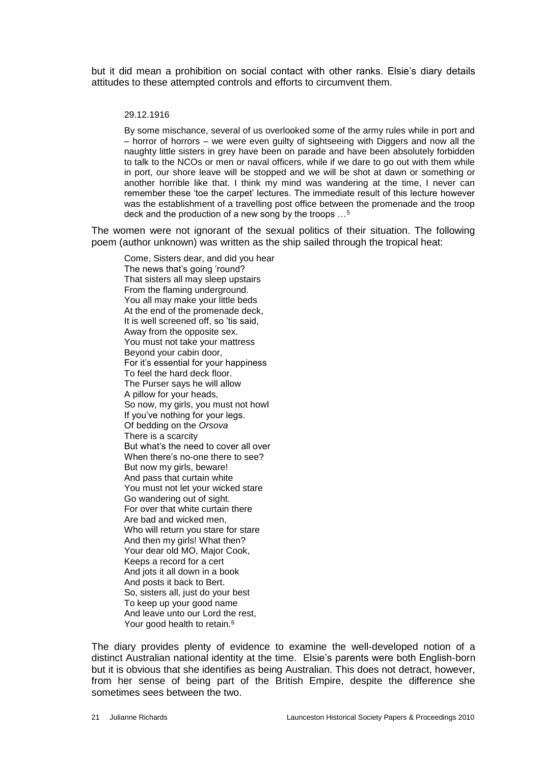but it did mean a prohibition on social contact with other ranks. Elsie's diary details attitudes to these attempted controls and efforts to circumvent them.

#### 29.12.1916

By some mischance, several of us overlooked some of the army rules while in port and – horror of horrors – we were even guilty of sightseeing with Diggers and now all the naughty little sisters in grey have been on parade and have been absolutely forbidden to talk to the NCOs or men or naval officers, while if we dare to go out with them while in port, our shore leave will be stopped and we will be shot at dawn or something or another horrible like that. I think my mind was wandering at the time, I never can remember these 'toe the carpet' lectures. The immediate result of this lecture however was the establishment of a travelling post office between the promenade and the troop deck and the production of a new song by the troops …<sup>5</sup>

The women were not ignorant of the sexual politics of their situation. The following poem (author unknown) was written as the ship sailed through the tropical heat:

Come, Sisters dear, and did you hear The news that's going 'round? That sisters all may sleep upstairs From the flaming underground. You all may make your little beds At the end of the promenade deck, It is well screened off, so 'tis said, Away from the opposite sex. You must not take your mattress Beyond your cabin door, For it's essential for your happiness To feel the hard deck floor. The Purser says he will allow A pillow for your heads, So now, my girls, you must not howl If you've nothing for your legs. Of bedding on the *Orsova* There is a scarcity But what's the need to cover all over When there's no-one there to see? But now my girls, beware! And pass that curtain white You must not let your wicked stare Go wandering out of sight. For over that white curtain there Are bad and wicked men, Who will return you stare for stare And then my girls! What then? Your dear old MO, Major Cook, Keeps a record for a cert And jots it all down in a book And posts it back to Bert. So, sisters all, just do your best To keep up your good name And leave unto our Lord the rest, Your good health to retain.<sup>6</sup>

The diary provides plenty of evidence to examine the well-developed notion of a distinct Australian national identity at the time. Elsie's parents were both English-born but it is obvious that she identifies as being Australian. This does not detract, however, from her sense of being part of the British Empire, despite the difference she sometimes sees between the two.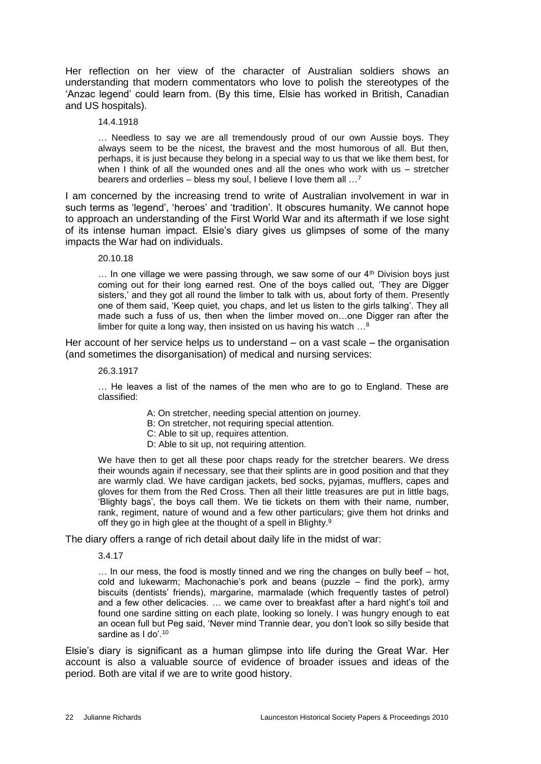Her reflection on her view of the character of Australian soldiers shows an understanding that modern commentators who love to polish the stereotypes of the 'Anzac legend' could learn from. (By this time, Elsie has worked in British, Canadian and US hospitals).

#### 14.4.1918

… Needless to say we are all tremendously proud of our own Aussie boys. They always seem to be the nicest, the bravest and the most humorous of all. But then, perhaps, it is just because they belong in a special way to us that we like them best, for when I think of all the wounded ones and all the ones who work with us – stretcher bearers and orderlies – bless my soul, I believe I love them all …<sup>7</sup>

I am concerned by the increasing trend to write of Australian involvement in war in such terms as 'legend', 'heroes' and 'tradition'. It obscures humanity. We cannot hope to approach an understanding of the First World War and its aftermath if we lose sight of its intense human impact. Elsie's diary gives us glimpses of some of the many impacts the War had on individuals.

20.10.18

 $\ldots$  In one village we were passing through, we saw some of our  $4<sup>th</sup>$  Division boys just coming out for their long earned rest. One of the boys called out, 'They are Digger sisters,' and they got all round the limber to talk with us, about forty of them. Presently one of them said, 'Keep quiet, you chaps, and let us listen to the girls talking'. They all made such a fuss of us, then when the limber moved on…one Digger ran after the limber for quite a long way, then insisted on us having his watch …<sup>8</sup>

Her account of her service helps us to understand – on a vast scale – the organisation (and sometimes the disorganisation) of medical and nursing services:

#### 26.3.1917

… He leaves a list of the names of the men who are to go to England. These are classified:

- A: On stretcher, needing special attention on journey.
- B: On stretcher, not requiring special attention.
- C: Able to sit up, requires attention.
- D: Able to sit up, not requiring attention.

We have then to get all these poor chaps ready for the stretcher bearers. We dress their wounds again if necessary, see that their splints are in good position and that they are warmly clad. We have cardigan jackets, bed socks, pyjamas, mufflers, capes and gloves for them from the Red Cross. Then all their little treasures are put in little bags, 'Blighty bags', the boys call them. We tie tickets on them with their name, number, rank, regiment, nature of wound and a few other particulars; give them hot drinks and off they go in high glee at the thought of a spell in Blighty.<sup>9</sup>

The diary offers a range of rich detail about daily life in the midst of war:

3.4.17

… In our mess, the food is mostly tinned and we ring the changes on bully beef – hot, cold and lukewarm; Machonachie's pork and beans (puzzle – find the pork), army biscuits (dentists' friends), margarine, marmalade (which frequently tastes of petrol) and a few other delicacies. … we came over to breakfast after a hard night's toil and found one sardine sitting on each plate, looking so lonely. I was hungry enough to eat an ocean full but Peg said, 'Never mind Trannie dear, you don't look so silly beside that sardine as I do'.<sup>10</sup>

Elsie's diary is significant as a human glimpse into life during the Great War. Her account is also a valuable source of evidence of broader issues and ideas of the period. Both are vital if we are to write good history.